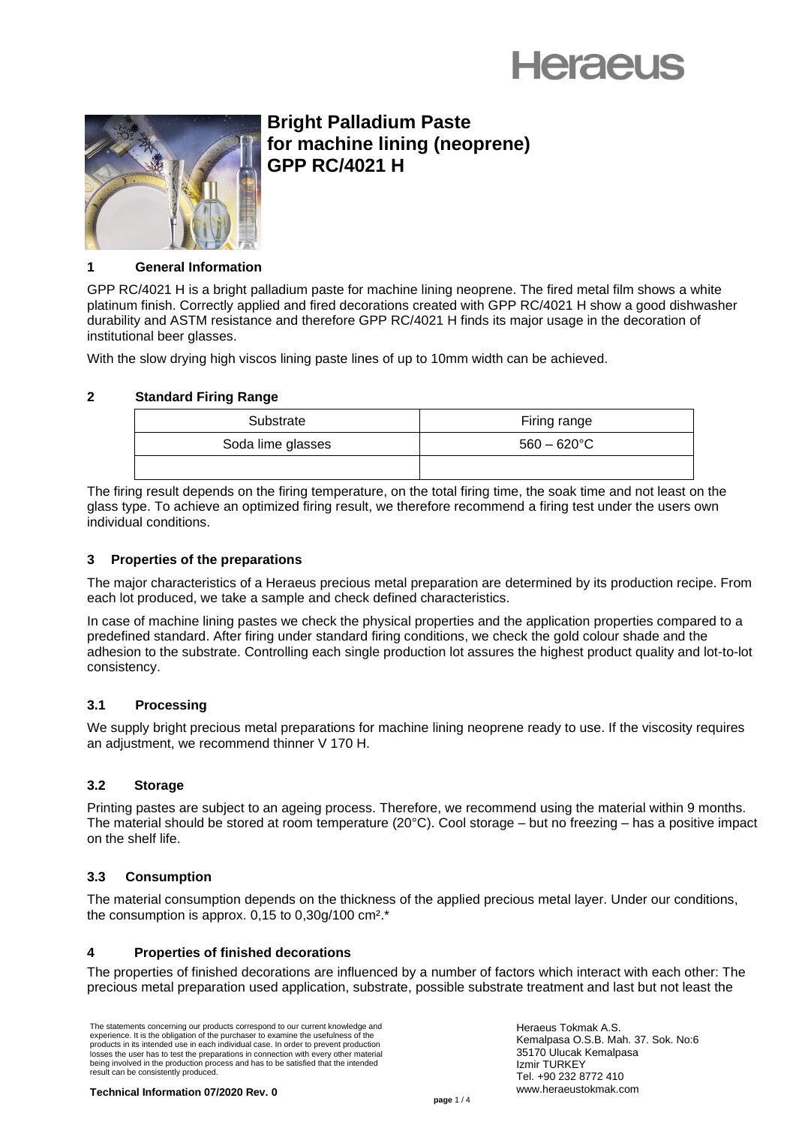



# **Bright Palladium Paste for machine lining (neoprene) GPP RC/4021 H**

#### **1 General Information**

GPP RC/4021 H is a bright palladium paste for machine lining neoprene. The fired metal film shows a white platinum finish. Correctly applied and fired decorations created with GPP RC/4021 H show a good dishwasher durability and ASTM resistance and therefore GPP RC/4021 H finds its major usage in the decoration of institutional beer glasses.

With the slow drying high viscos lining paste lines of up to 10mm width can be achieved.

# **2 Standard Firing Range**

| Substrate         | Firing range          |
|-------------------|-----------------------|
| Soda lime glasses | $560 - 620^{\circ}$ C |
|                   |                       |

The firing result depends on the firing temperature, on the total firing time, the soak time and not least on the glass type. To achieve an optimized firing result, we therefore recommend a firing test under the users own individual conditions.

## **3 Properties of the preparations**

The major characteristics of a Heraeus precious metal preparation are determined by its production recipe. From each lot produced, we take a sample and check defined characteristics.

In case of machine lining pastes we check the physical properties and the application properties compared to a predefined standard. After firing under standard firing conditions, we check the gold colour shade and the adhesion to the substrate. Controlling each single production lot assures the highest product quality and lot-to-lot consistency.

#### **3.1 Processing**

We supply bright precious metal preparations for machine lining neoprene ready to use. If the viscosity requires an adjustment, we recommend thinner V 170 H.

#### **3.2 Storage**

Printing pastes are subject to an ageing process. Therefore, we recommend using the material within 9 months. The material should be stored at room temperature (20°C). Cool storage – but no freezing – has a positive impact on the shelf life.

#### **3.3 Consumption**

The material consumption depends on the thickness of the applied precious metal layer. Under our conditions, the consumption is approx.  $0.15$  to  $0.30q/100$  cm<sup>2\*</sup>.

#### **4 Properties of finished decorations**

The properties of finished decorations are influenced by a number of factors which interact with each other: The precious metal preparation used application, substrate, possible substrate treatment and last but not least the

The statements concerning our products correspond to our current knowledge and experience. It is the obligation of the purchaser to examine the usefulness of the products in its intended use in each individual case. In order to prevent production losses the user has to test the preparations in connection with every other material being involved in the production process and has to be satisfied that the intended result can be consistently produced.

Heraeus Tokmak A.S. Kemalpasa O.S.B. Mah. 37. Sok. No:6 35170 Ulucak Kemalpasa Izmir TURKEY Tel. +90 232 8772 410 www.heraeustokmak.com

**Technical Information 07/2020 Rev. 0**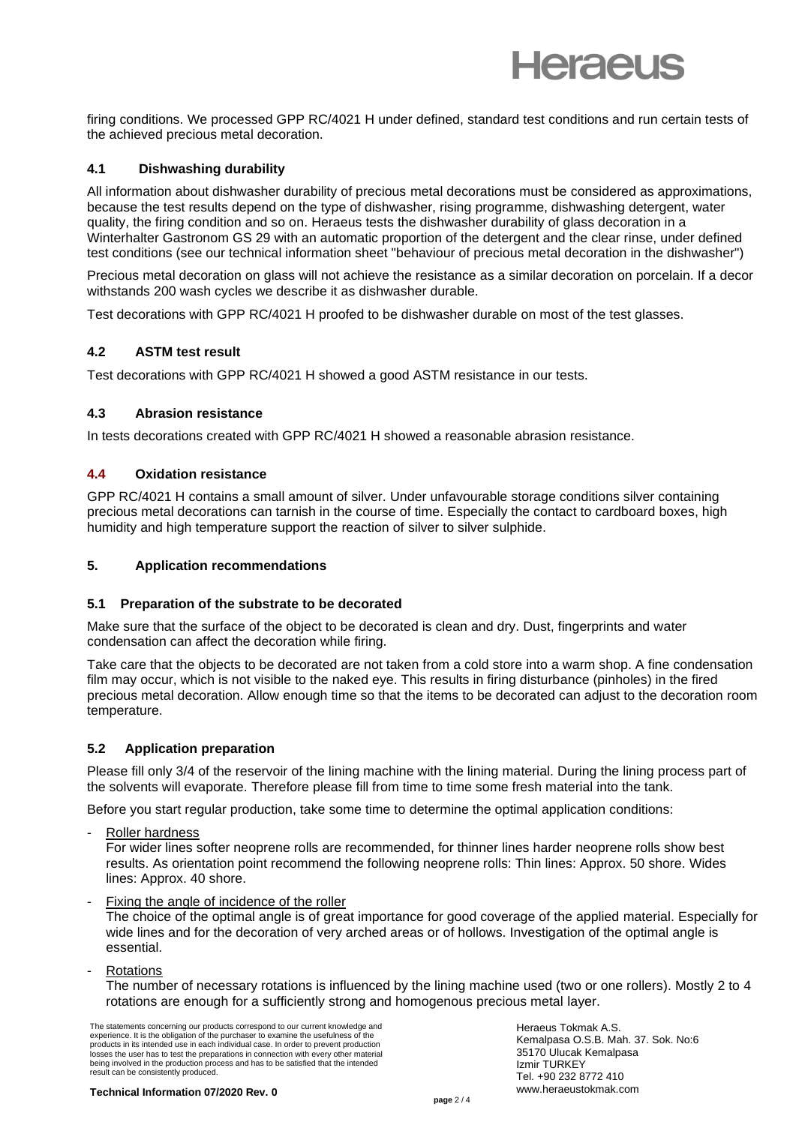firing conditions. We processed GPP RC/4021 H under defined, standard test conditions and run certain tests of the achieved precious metal decoration.

## **4.1 Dishwashing durability**

All information about dishwasher durability of precious metal decorations must be considered as approximations, because the test results depend on the type of dishwasher, rising programme, dishwashing detergent, water quality, the firing condition and so on. Heraeus tests the dishwasher durability of glass decoration in a Winterhalter Gastronom GS 29 with an automatic proportion of the detergent and the clear rinse, under defined test conditions (see our technical information sheet "behaviour of precious metal decoration in the dishwasher")

Precious metal decoration on glass will not achieve the resistance as a similar decoration on porcelain. If a decor withstands 200 wash cycles we describe it as dishwasher durable.

Test decorations with GPP RC/4021 H proofed to be dishwasher durable on most of the test glasses.

#### **4.2 ASTM test result**

Test decorations with GPP RC/4021 H showed a good ASTM resistance in our tests.

#### **4.3 Abrasion resistance**

In tests decorations created with GPP RC/4021 H showed a reasonable abrasion resistance.

#### **4.4 Oxidation resistance**

GPP RC/4021 H contains a small amount of silver. Under unfavourable storage conditions silver containing precious metal decorations can tarnish in the course of time. Especially the contact to cardboard boxes, high humidity and high temperature support the reaction of silver to silver sulphide.

#### **5. Application recommendations**

#### **5.1 Preparation of the substrate to be decorated**

Make sure that the surface of the object to be decorated is clean and dry. Dust, fingerprints and water condensation can affect the decoration while firing.

Take care that the objects to be decorated are not taken from a cold store into a warm shop. A fine condensation film may occur, which is not visible to the naked eye. This results in firing disturbance (pinholes) in the fired precious metal decoration. Allow enough time so that the items to be decorated can adjust to the decoration room temperature.

#### **5.2 Application preparation**

Please fill only 3/4 of the reservoir of the lining machine with the lining material. During the lining process part of the solvents will evaporate. Therefore please fill from time to time some fresh material into the tank.

Before you start regular production, take some time to determine the optimal application conditions:

Roller hardness

For wider lines softer neoprene rolls are recommended, for thinner lines harder neoprene rolls show best results. As orientation point recommend the following neoprene rolls: Thin lines: Approx. 50 shore. Wides lines: Approx. 40 shore.

- Fixing the angle of incidence of the roller The choice of the optimal angle is of great importance for good coverage of the applied material. Especially for wide lines and for the decoration of very arched areas or of hollows. Investigation of the optimal angle is essential.
- **Rotations**

The number of necessary rotations is influenced by the lining machine used (two or one rollers). Mostly 2 to 4 rotations are enough for a sufficiently strong and homogenous precious metal layer.

The statements concerning our products correspond to our current knowledge and experience. It is the obligation of the purchaser to examine the usefulness of the products in its intended use in each individual case. In order to prevent production losses the user has to test the preparations in connection with every other material being involved in the production process and has to be satisfied that the intended result can be consistently produced.

Heraeus Tokmak A.S. Kemalpasa O.S.B. Mah. 37. Sok. No:6 35170 Ulucak Kemalpasa Izmir TURKEY Tel. +90 232 8772 410 www.heraeustokmak.com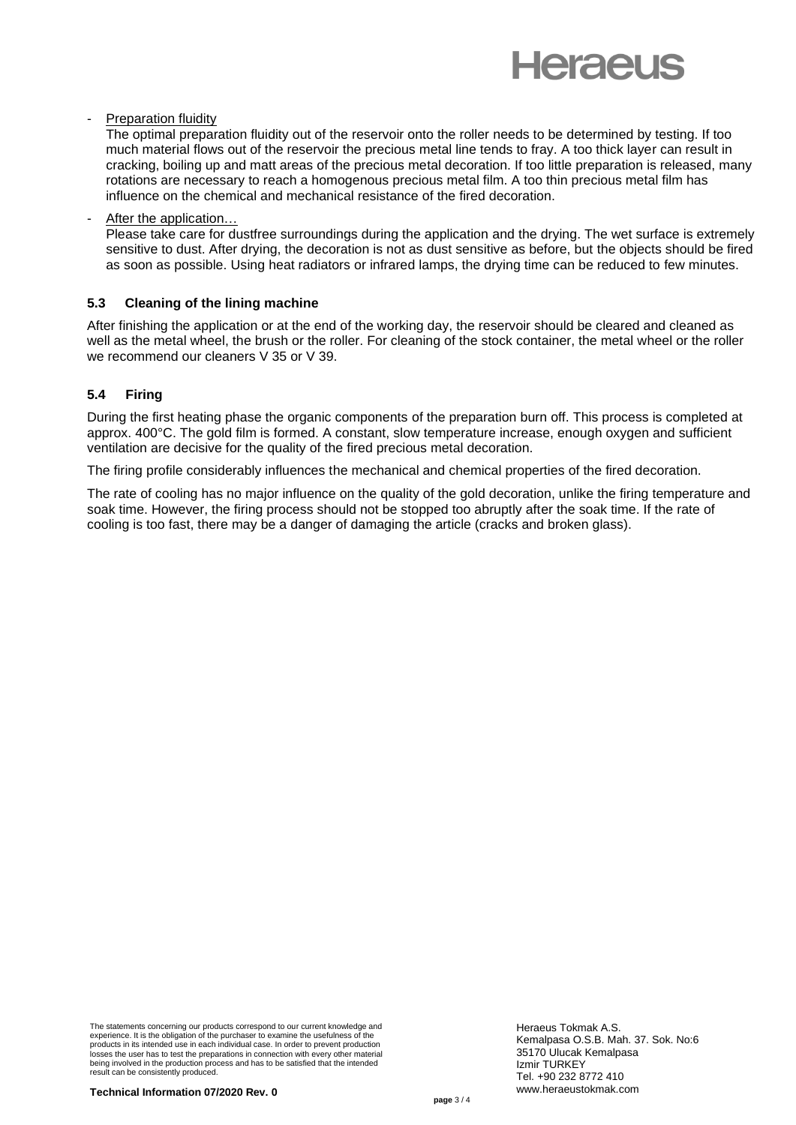# **Heraeus**

#### **Preparation fluidity**

The optimal preparation fluidity out of the reservoir onto the roller needs to be determined by testing. If too much material flows out of the reservoir the precious metal line tends to fray. A too thick layer can result in cracking, boiling up and matt areas of the precious metal decoration. If too little preparation is released, many rotations are necessary to reach a homogenous precious metal film. A too thin precious metal film has influence on the chemical and mechanical resistance of the fired decoration.

#### After the application...

Please take care for dustfree surroundings during the application and the drying. The wet surface is extremely sensitive to dust. After drying, the decoration is not as dust sensitive as before, but the objects should be fired as soon as possible. Using heat radiators or infrared lamps, the drying time can be reduced to few minutes.

#### **5.3 Cleaning of the lining machine**

After finishing the application or at the end of the working day, the reservoir should be cleared and cleaned as well as the metal wheel, the brush or the roller. For cleaning of the stock container, the metal wheel or the roller we recommend our cleaners V 35 or V 39.

# **5.4 Firing**

During the first heating phase the organic components of the preparation burn off. This process is completed at approx. 400°C. The gold film is formed. A constant, slow temperature increase, enough oxygen and sufficient ventilation are decisive for the quality of the fired precious metal decoration.

The firing profile considerably influences the mechanical and chemical properties of the fired decoration.

The rate of cooling has no major influence on the quality of the gold decoration, unlike the firing temperature and soak time. However, the firing process should not be stopped too abruptly after the soak time. If the rate of cooling is too fast, there may be a danger of damaging the article (cracks and broken glass).